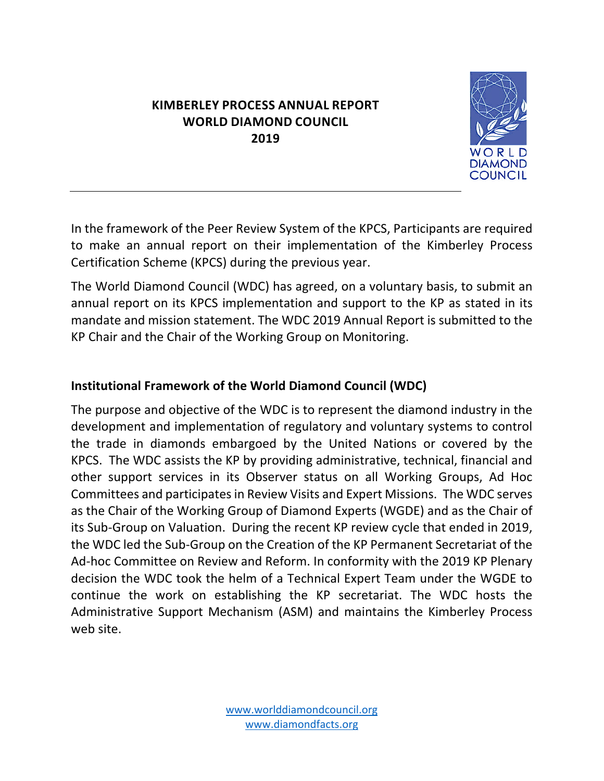#### **KIMBERLEY PROCESS ANNUAL REPORT WORLD DIAMOND COUNCIL 2019**



In the framework of the Peer Review System of the KPCS, Participants are required to make an annual report on their implementation of the Kimberley Process Certification Scheme (KPCS) during the previous year.

The World Diamond Council (WDC) has agreed, on a voluntary basis, to submit an annual report on its KPCS implementation and support to the KP as stated in its mandate and mission statement. The WDC 2019 Annual Report is submitted to the KP Chair and the Chair of the Working Group on Monitoring.

## **Institutional Framework of the World Diamond Council (WDC)**

The purpose and objective of the WDC is to represent the diamond industry in the development and implementation of regulatory and voluntary systems to control the trade in diamonds embargoed by the United Nations or covered by the KPCS. The WDC assists the KP by providing administrative, technical, financial and other support services in its Observer status on all Working Groups, Ad Hoc Committees and participates in Review Visits and Expert Missions. The WDC serves as the Chair of the Working Group of Diamond Experts (WGDE) and as the Chair of its Sub-Group on Valuation. During the recent KP review cycle that ended in 2019, the WDC led the Sub-Group on the Creation of the KP Permanent Secretariat of the Ad-hoc Committee on Review and Reform. In conformity with the 2019 KP Plenary decision the WDC took the helm of a Technical Expert Team under the WGDE to continue the work on establishing the KP secretariat. The WDC hosts the Administrative Support Mechanism (ASM) and maintains the Kimberley Process web site.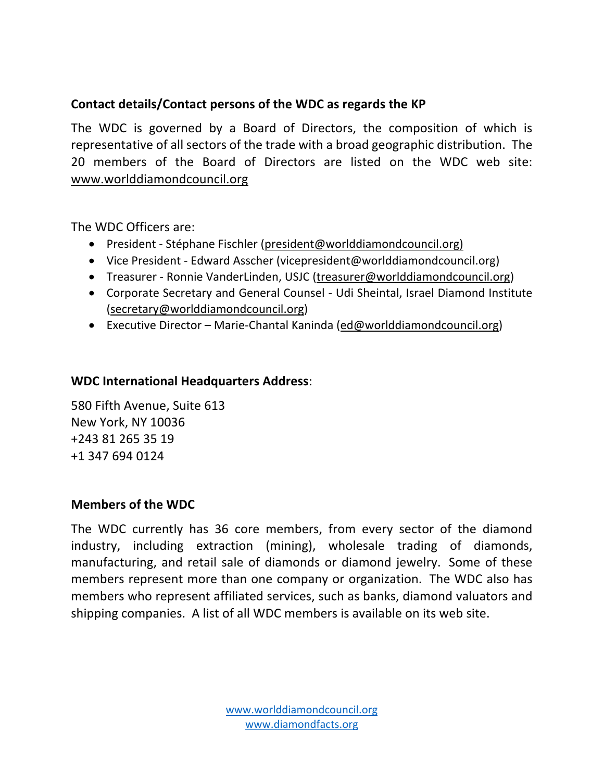# **Contact details/Contact persons of the WDC as regards the KP**

The WDC is governed by a Board of Directors, the composition of which is representative of all sectors of the trade with a broad geographic distribution. The 20 members of the Board of Directors are listed on the WDC web site: www.worlddiamondcouncil.org

The WDC Officers are:

- President Stéphane Fischler (president@worlddiamondcouncil.org)
- Vice President Edward Asscher (vicepresident@worlddiamondcouncil.org)
- Treasurer Ronnie VanderLinden, USJC (treasurer@worlddiamondcouncil.org)
- Corporate Secretary and General Counsel Udi Sheintal, Israel Diamond Institute (secretary@worlddiamondcouncil.org)
- Executive Director Marie-Chantal Kaninda (ed@worlddiamondcouncil.org)

#### **WDC International Headquarters Address**:

580 Fifth Avenue, Suite 613 New York, NY 10036 +243 81 265 35 19 +1 347 694 0124

#### **Members of the WDC**

The WDC currently has 36 core members, from every sector of the diamond industry, including extraction (mining), wholesale trading of diamonds, manufacturing, and retail sale of diamonds or diamond jewelry. Some of these members represent more than one company or organization. The WDC also has members who represent affiliated services, such as banks, diamond valuators and shipping companies. A list of all WDC members is available on its web site.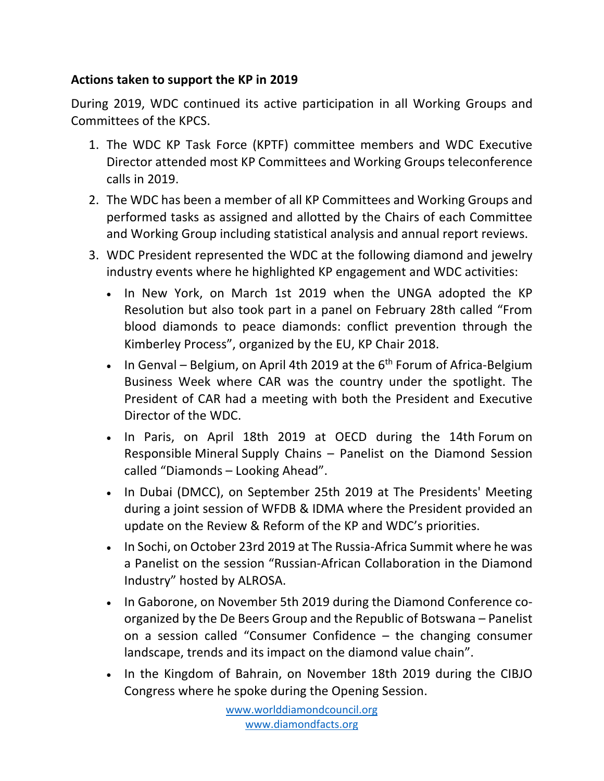## **Actions taken to support the KP in 2019**

During 2019, WDC continued its active participation in all Working Groups and Committees of the KPCS.

- 1. The WDC KP Task Force (KPTF) committee members and WDC Executive Director attended most KP Committees and Working Groups teleconference calls in 2019.
- 2. The WDC has been a member of all KP Committees and Working Groups and performed tasks as assigned and allotted by the Chairs of each Committee and Working Group including statistical analysis and annual report reviews.
- 3. WDC President represented the WDC at the following diamond and jewelry industry events where he highlighted KP engagement and WDC activities:
	- In New York, on March 1st 2019 when the UNGA adopted the KP Resolution but also took part in a panel on February 28th called "From blood diamonds to peace diamonds: conflict prevention through the Kimberley Process", organized by the EU, KP Chair 2018.
	- In Genval Belgium, on April 4th 2019 at the  $6<sup>th</sup>$  Forum of Africa-Belgium Business Week where CAR was the country under the spotlight. The President of CAR had a meeting with both the President and Executive Director of the WDC.
	- In Paris, on April 18th 2019 at OECD during the 14th Forum on Responsible Mineral Supply Chains – Panelist on the Diamond Session called "Diamonds – Looking Ahead".
	- In Dubai (DMCC), on September 25th 2019 at The Presidents' Meeting during a joint session of WFDB & IDMA where the President provided an update on the Review & Reform of the KP and WDC's priorities.
	- In Sochi, on October 23rd 2019 at The Russia-Africa Summit where he was a Panelist on the session "Russian-African Collaboration in the Diamond Industry" hosted by ALROSA.
	- In Gaborone, on November 5th 2019 during the Diamond Conference coorganized by the De Beers Group and the Republic of Botswana – Panelist on a session called "Consumer Confidence – the changing consumer landscape, trends and its impact on the diamond value chain".
	- In the Kingdom of Bahrain, on November 18th 2019 during the CIBJO Congress where he spoke during the Opening Session.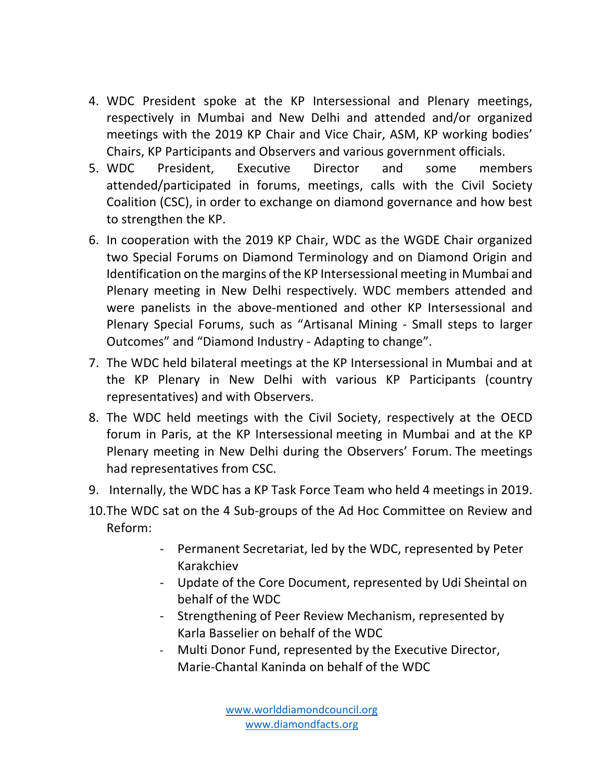- 4. WDC President spoke at the KP Intersessional and Plenary meetings, respectively in Mumbai and New Delhi and attended and/or organized meetings with the 2019 KP Chair and Vice Chair, ASM, KP working bodies' Chairs, KP Participants and Observers and various government officials.
- 5. WDC President, Executive Director and some members attended/participated in forums, meetings, calls with the Civil Society Coalition (CSC), in order to exchange on diamond governance and how best to strengthen the KP.
- 6. In cooperation with the 2019 KP Chair, WDC as the WGDE Chair organized two Special Forums on Diamond Terminology and on Diamond Origin and Identification on the margins of the KP Intersessional meeting in Mumbai and Plenary meeting in New Delhi respectively. WDC members attended and were panelists in the above-mentioned and other KP Intersessional and Plenary Special Forums, such as "Artisanal Mining - Small steps to larger Outcomes" and "Diamond Industry - Adapting to change".
- 7. The WDC held bilateral meetings at the KP Intersessional in Mumbai and at the KP Plenary in New Delhi with various KP Participants (country representatives) and with Observers.
- 8. The WDC held meetings with the Civil Society, respectively at the OECD forum in Paris, at the KP Intersessional meeting in Mumbai and at the KP Plenary meeting in New Delhi during the Observers' Forum. The meetings had representatives from CSC.
- 9. Internally, the WDC has a KP Task Force Team who held 4 meetings in 2019.
- 10.The WDC sat on the 4 Sub-groups of the Ad Hoc Committee on Review and Reform:
	- Permanent Secretariat, led by the WDC, represented by Peter Karakchiev
	- Update of the Core Document, represented by Udi Sheintal on behalf of the WDC
	- Strengthening of Peer Review Mechanism, represented by Karla Basselier on behalf of the WDC
	- Multi Donor Fund, represented by the Executive Director, Marie-Chantal Kaninda on behalf of the WDC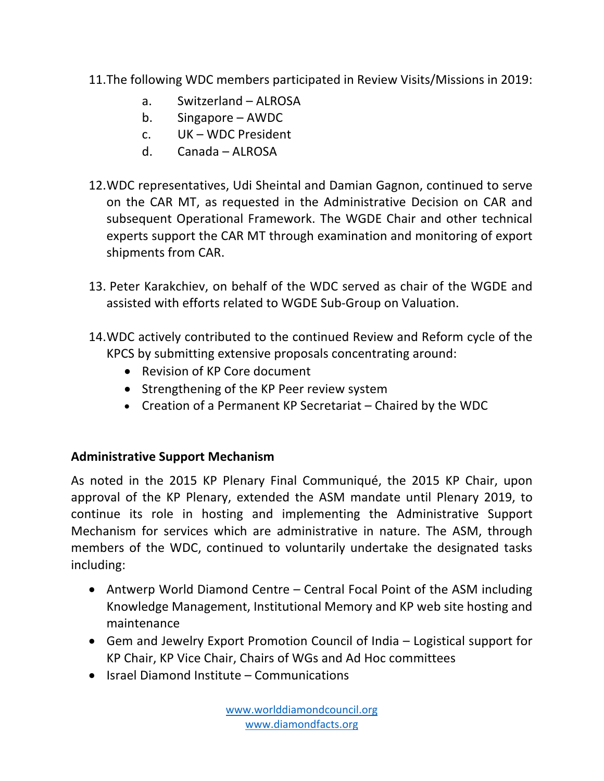- 11.The following WDC members participated in Review Visits/Missions in 2019:
	- a. Switzerland ALROSA
	- b. Singapore AWDC
	- c. UK WDC President
	- d. Canada ALROSA
- 12.WDC representatives, Udi Sheintal and Damian Gagnon, continued to serve on the CAR MT, as requested in the Administrative Decision on CAR and subsequent Operational Framework. The WGDE Chair and other technical experts support the CAR MT through examination and monitoring of export shipments from CAR.
- 13. Peter Karakchiev, on behalf of the WDC served as chair of the WGDE and assisted with efforts related to WGDE Sub-Group on Valuation.
- 14.WDC actively contributed to the continued Review and Reform cycle of the KPCS by submitting extensive proposals concentrating around:
	- Revision of KP Core document
	- Strengthening of the KP Peer review system
	- Creation of a Permanent KP Secretariat Chaired by the WDC

#### **Administrative Support Mechanism**

As noted in the 2015 KP Plenary Final Communiqué, the 2015 KP Chair, upon approval of the KP Plenary, extended the ASM mandate until Plenary 2019, to continue its role in hosting and implementing the Administrative Support Mechanism for services which are administrative in nature. The ASM, through members of the WDC, continued to voluntarily undertake the designated tasks including:

- Antwerp World Diamond Centre Central Focal Point of the ASM including Knowledge Management, Institutional Memory and KP web site hosting and maintenance
- Gem and Jewelry Export Promotion Council of India Logistical support for KP Chair, KP Vice Chair, Chairs of WGs and Ad Hoc committees
- Israel Diamond Institute Communications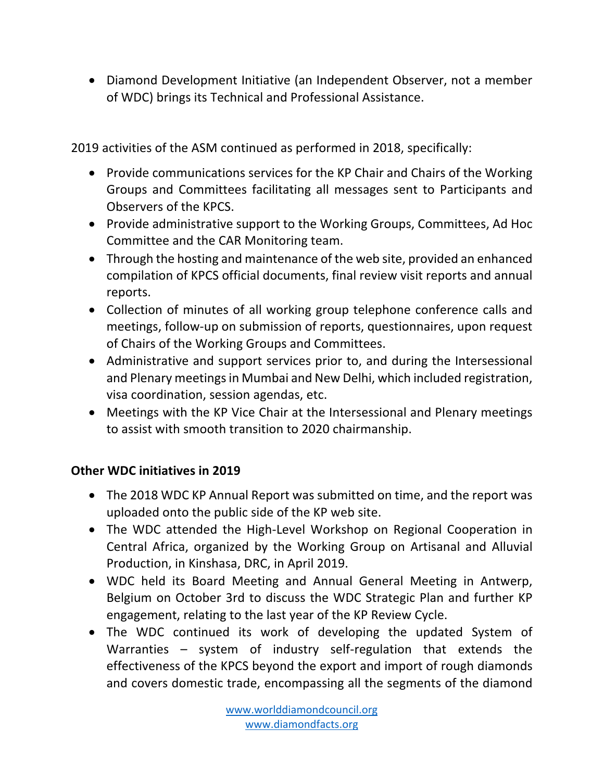• Diamond Development Initiative (an Independent Observer, not a member of WDC) brings its Technical and Professional Assistance.

2019 activities of the ASM continued as performed in 2018, specifically:

- Provide communications services for the KP Chair and Chairs of the Working Groups and Committees facilitating all messages sent to Participants and Observers of the KPCS.
- Provide administrative support to the Working Groups, Committees, Ad Hoc Committee and the CAR Monitoring team.
- Through the hosting and maintenance of the web site, provided an enhanced compilation of KPCS official documents, final review visit reports and annual reports.
- Collection of minutes of all working group telephone conference calls and meetings, follow-up on submission of reports, questionnaires, upon request of Chairs of the Working Groups and Committees.
- Administrative and support services prior to, and during the Intersessional and Plenary meetings in Mumbai and New Delhi, which included registration, visa coordination, session agendas, etc.
- Meetings with the KP Vice Chair at the Intersessional and Plenary meetings to assist with smooth transition to 2020 chairmanship.

# **Other WDC initiatives in 2019**

- The 2018 WDC KP Annual Report was submitted on time, and the report was uploaded onto the public side of the KP web site.
- The WDC attended the High-Level Workshop on Regional Cooperation in Central Africa, organized by the Working Group on Artisanal and Alluvial Production, in Kinshasa, DRC, in April 2019.
- WDC held its Board Meeting and Annual General Meeting in Antwerp, Belgium on October 3rd to discuss the WDC Strategic Plan and further KP engagement, relating to the last year of the KP Review Cycle.
- The WDC continued its work of developing the updated System of Warranties – system of industry self-regulation that extends the effectiveness of the KPCS beyond the export and import of rough diamonds and covers domestic trade, encompassing all the segments of the diamond